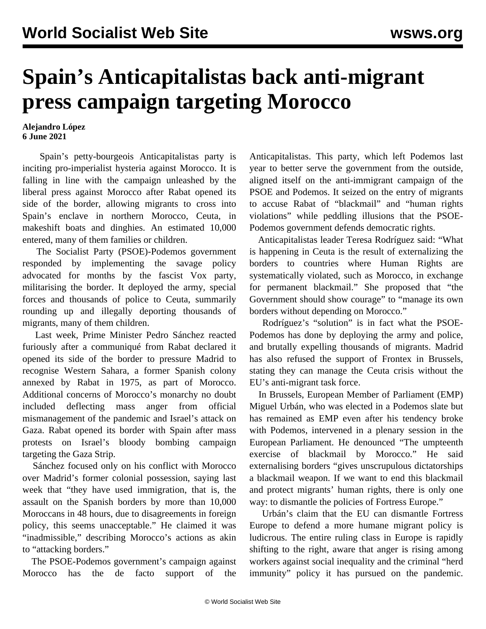## **Spain's Anticapitalistas back anti-migrant press campaign targeting Morocco**

## **Alejandro López 6 June 2021**

 Spain's petty-bourgeois Anticapitalistas party is inciting pro-imperialist hysteria against Morocco. It is falling in line with the campaign unleashed by the liberal press against Morocco after Rabat opened its side of the border, allowing migrants to cross into Spain's enclave in northern Morocco, Ceuta, in makeshift boats and dinghies. An estimated 10,000 entered, many of them families or children.

 The Socialist Party (PSOE)-Podemos government responded by implementing the savage policy advocated for months by the fascist Vox party, militarising the border. It deployed the army, special forces and thousands of police to Ceuta, summarily rounding up and illegally deporting thousands of migrants, many of them children.

 Last week, Prime Minister Pedro Sánchez reacted furiously after a communiqué from Rabat declared it opened its side of the border to pressure Madrid to recognise Western Sahara, a former Spanish colony annexed by Rabat in 1975, as part of Morocco. Additional concerns of Morocco's monarchy no doubt included deflecting mass anger from official mismanagement of the pandemic and Israel's attack on Gaza. Rabat opened its border with Spain after mass protests on Israel's bloody bombing campaign targeting the Gaza Strip.

 Sánchez focused only on his conflict with Morocco over Madrid's former colonial possession, saying last week that "they have used immigration, that is, the assault on the Spanish borders by more than 10,000 Moroccans in 48 hours, due to disagreements in foreign policy, this seems unacceptable." He claimed it was "inadmissible," describing Morocco's actions as akin to "attacking borders."

 The PSOE-Podemos government's campaign against Morocco has the de facto support of the Anticapitalistas. This party, which left Podemos last year to better serve the government from the outside, aligned itself on the anti-immigrant campaign of the PSOE and Podemos. It seized on the entry of migrants to accuse Rabat of "blackmail" and "human rights violations" while peddling illusions that the PSOE-Podemos government defends democratic rights.

 Anticapitalistas leader Teresa Rodríguez said: "What is happening in Ceuta is the result of externalizing the borders to countries where Human Rights are systematically violated, such as Morocco, in exchange for permanent blackmail." She proposed that "the Government should show courage" to "manage its own borders without depending on Morocco."

 Rodríguez's "solution" is in fact what the PSOE-Podemos has done by deploying the army and police, and brutally expelling thousands of migrants. Madrid has also refused the support of Frontex in Brussels, stating they can manage the Ceuta crisis without the EU's anti-migrant task force.

 In Brussels, European Member of Parliament (EMP) Miguel Urbán, who was elected in a Podemos slate but has remained as EMP even after his tendency broke with Podemos, intervened in a plenary session in the European Parliament. He denounced "The umpteenth exercise of blackmail by Morocco." He said externalising borders "gives unscrupulous dictatorships a blackmail weapon. If we want to end this blackmail and protect migrants' human rights, there is only one way: to dismantle the policies of Fortress Europe."

 Urbán's claim that the EU can dismantle Fortress Europe to defend a more humane migrant policy is ludicrous. The entire ruling class in Europe is rapidly shifting to the right, aware that anger is rising among workers against social inequality and the criminal "herd immunity" policy it has pursued on the pandemic.